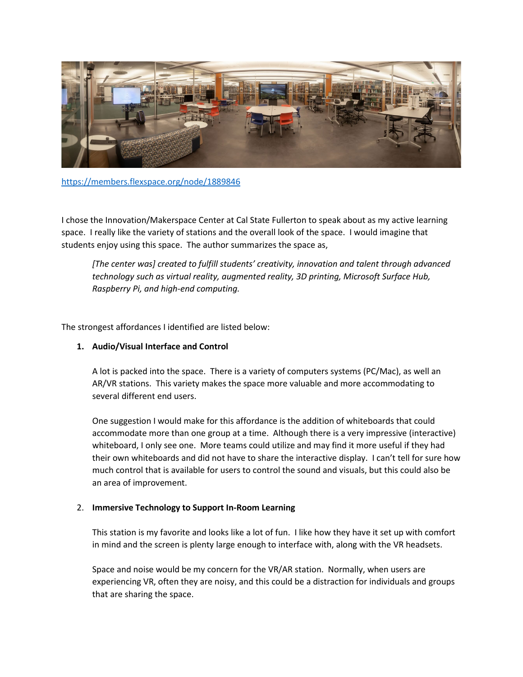

<https://members.flexspace.org/node/1889846>

I chose the Innovation/Makerspace Center at Cal State Fullerton to speak about as my active learning space. I really like the variety of stations and the overall look of the space. I would imagine that students enjoy using this space. The author summarizes the space as,

*[The center was] created to fulfill students' creativity, innovation and talent through advanced technology such as virtual reality, augmented reality, 3D printing, Microsoft Surface Hub, Raspberry Pi, and high-end computing.*

The strongest affordances I identified are listed below:

# **1. Audio/Visual Interface and Control**

A lot is packed into the space. There is a variety of computers systems (PC/Mac), as well an AR/VR stations. This variety makes the space more valuable and more accommodating to several different end users.

One suggestion I would make for this affordance is the addition of whiteboards that could accommodate more than one group at a time. Although there is a very impressive (interactive) whiteboard, I only see one. More teams could utilize and may find it more useful if they had their own whiteboards and did not have to share the interactive display. I can't tell for sure how much control that is available for users to control the sound and visuals, but this could also be an area of improvement.

# 2. **Immersive Technology to Support In-Room Learning**

This station is my favorite and looks like a lot of fun. I like how they have it set up with comfort in mind and the screen is plenty large enough to interface with, along with the VR headsets.

Space and noise would be my concern for the VR/AR station. Normally, when users are experiencing VR, often they are noisy, and this could be a distraction for individuals and groups that are sharing the space.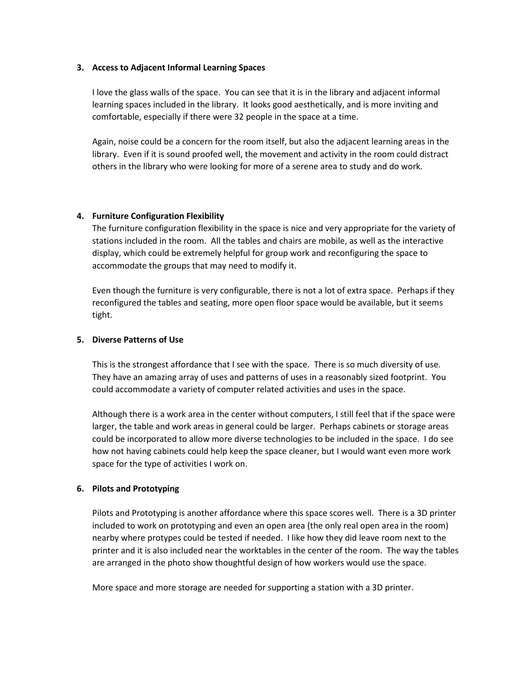# **3. Access to Adjacent Informal Learning Spaces**

I love the glass walls of the space. You can see that it is in the library and adjacent informal learning spaces included in the library. It looks good aesthetically, and is more inviting and comfortable, especially if there were 32 people in the space at a time.

Again, noise could be a concern for the room itself, but also the adjacent learning areas in the library. Even if it is sound proofed well, the movement and activity in the room could distract others in the library who were looking for more of a serene area to study and do work.

# **4. Furniture Configuration Flexibility**

The furniture configuration flexibility in the space is nice and very appropriate for the variety of stations included in the room. All the tables and chairs are mobile, as well as the interactive display, which could be extremely helpful for group work and reconfiguring the space to accommodate the groups that may need to modify it.

Even though the furniture is very configurable, there is not a lot of extra space. Perhaps if they reconfigured the tables and seating, more open floor space would be available, but it seems tight.

#### **5. Diverse Patterns of Use**

This is the strongest affordance that I see with the space. There is so much diversity of use. They have an amazing array of uses and patterns of uses in a reasonably sized footprint. You could accommodate a variety of computer related activities and uses in the space.

Although there is a work area in the center without computers, I still feel that if the space were larger, the table and work areas in general could be larger. Perhaps cabinets or storage areas could be incorporated to allow more diverse technologies to be included in the space. I do see how not having cabinets could help keep the space cleaner, but I would want even more work space for the type of activities I work on.

# **6. Pilots and Prototyping**

Pilots and Prototyping is another affordance where this space scores well. There is a 3D printer included to work on prototyping and even an open area (the only real open area in the room) nearby where protypes could be tested if needed. I like how they did leave room next to the printer and it is also included near the worktables in the center of the room. The way the tables are arranged in the photo show thoughtful design of how workers would use the space.

More space and more storage are needed for supporting a station with a 3D printer.